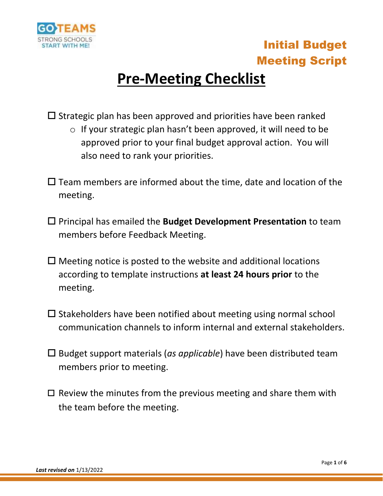

# **Pre-Meeting Checklist**

 $\square$  Strategic plan has been approved and priorities have been ranked

- o If your strategic plan hasn't been approved, it will need to be approved prior to your final budget approval action. You will also need to rank your priorities.
- $\square$  Team members are informed about the time, date and location of the meeting.
- Principal has emailed the **Budget Development Presentation** to team members before Feedback Meeting.
- $\Box$  Meeting notice is posted to the website and additional locations according to template instructions **at least 24 hours prior** to the meeting.
- $\square$  Stakeholders have been notified about meeting using normal school communication channels to inform internal and external stakeholders.
- Budget support materials (*as applicable*) have been distributed team members prior to meeting.
- $\Box$  Review the minutes from the previous meeting and share them with the team before the meeting.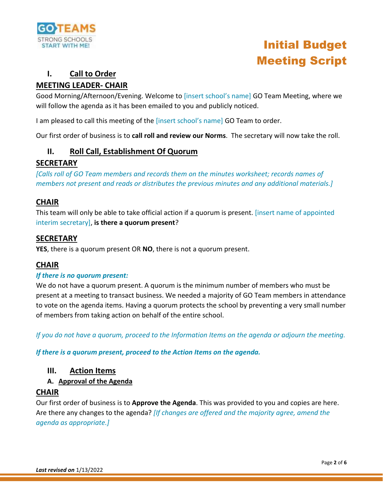

# **I. Call to Order**

# **MEETING LEADER- CHAIR**

Good Morning/Afternoon/Evening. Welcome to [insert school's name] GO Team Meeting, where we will follow the agenda as it has been emailed to you and publicly noticed.

I am pleased to call this meeting of the [insert school's name] GO Team to order.

Our first order of business is to **call roll and review our Norms**. The secretary will now take the roll.

# **II. Roll Call, Establishment Of Quorum**

# **SECRETARY**

*[Calls roll of GO Team members and records them on the minutes worksheet; records names of members not present and reads or distributes the previous minutes and any additional materials.]* 

# **CHAIR**

This team will only be able to take official action if a quorum is present. [insert name of appointed interim secretary], **is there a quorum present**?

# **SECRETARY**

**YES**, there is a quorum present OR **NO**, there is not a quorum present.

## **CHAIR**

#### *If there is no quorum present:*

We do not have a quorum present. A quorum is the minimum number of members who must be present at a meeting to transact business. We needed a majority of GO Team members in attendance to vote on the agenda items. Having a quorum protects the school by preventing a very small number of members from taking action on behalf of the entire school.

*If you do not have a quorum, proceed to the Information Items on the agenda or adjourn the meeting.* 

*If there is a quorum present, proceed to the Action Items on the agenda.*

## **III. Action Items**

#### **A. Approval of the Agenda**

## **CHAIR**

Our first order of business is to **Approve the Agenda**. This was provided to you and copies are here. Are there any changes to the agenda? *[If changes are offered and the majority agree, amend the agenda as appropriate.]*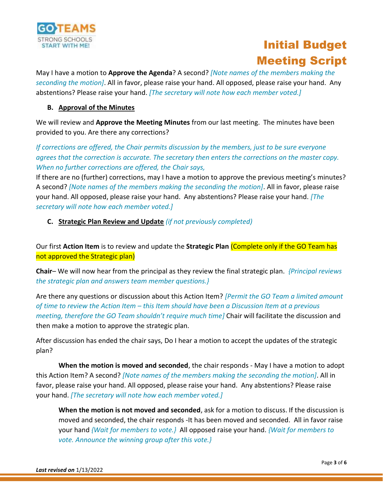

May I have a motion to **Approve the Agenda**? A second? *[Note names of the members making the seconding the motion]*. All in favor, please raise your hand. All opposed, please raise your hand. Any abstentions? Please raise your hand. *[The secretary will note how each member voted.]*

#### **B. Approval of the Minutes**

We will review and **Approve the Meeting Minutes** from our last meeting. The minutes have been provided to you. Are there any corrections?

*If corrections are offered, the Chair permits discussion by the members, just to be sure everyone agrees that the correction is accurate. The secretary then enters the corrections on the master copy. When no further corrections are offered, the Chair says,* 

If there are no (further) corrections, may I have a motion to approve the previous meeting's minutes? A second? *[Note names of the members making the seconding the motion]*. All in favor, please raise your hand. All opposed, please raise your hand. Any abstentions? Please raise your hand. *[The secretary will note how each member voted.]*

#### **C. Strategic Plan Review and Update** *(if not previously completed)*

Our first **Action Item** is to review and update the **Strategic Plan** (Complete only if the GO Team has not approved the Strategic plan)

**Chair**– We will now hear from the principal as they review the final strategic plan. *{Principal reviews the strategic plan and answers team member questions.}* 

Are there any questions or discussion about this Action Item? *[Permit the GO Team a limited amount of time to review the Action Item – this Item should have been a Discussion Item at a previous meeting, therefore the GO Team shouldn't require much time]* Chair will facilitate the discussion and then make a motion to approve the strategic plan.

After discussion has ended the chair says, Do I hear a motion to accept the updates of the strategic plan?

**When the motion is moved and seconded**, the chair responds - May I have a motion to adopt this Action Item? A second? *[Note names of the members making the seconding the motion]*. All in favor, please raise your hand. All opposed, please raise your hand. Any abstentions? Please raise your hand. *[The secretary will note how each member voted.]*

**When the motion is not moved and seconded**, ask for a motion to discuss. If the discussion is moved and seconded, the chair responds -It has been moved and seconded. All in favor raise your hand *{Wait for members to vote.}* All opposed raise your hand. *{Wait for members to vote. Announce the winning group after this vote.}*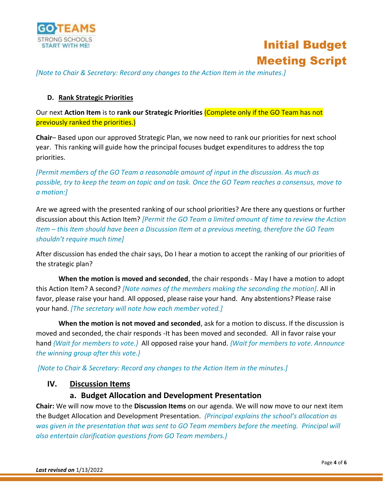



*[Note to Chair & Secretary: Record any changes to the Action Item in the minutes.]*

#### **D. Rank Strategic Priorities**

Our next **Action Item** is to **rank our Strategic Priorities** (Complete only if the GO Team has not previously ranked the priorities.)

**Chair**– Based upon our approved Strategic Plan, we now need to rank our priorities for next school year. This ranking will guide how the principal focuses budget expenditures to address the top priorities.

*[Permit members of the GO Team a reasonable amount of input in the discussion. As much as possible, try to keep the team on topic and on task. Once the GO Team reaches a consensus, move to a motion:]*

Are we agreed with the presented ranking of our school priorities? Are there any questions or further discussion about this Action Item? *[Permit the GO Team a limited amount of time to review the Action Item – this Item should have been a Discussion Item at a previous meeting, therefore the GO Team shouldn't require much time]*

After discussion has ended the chair says, Do I hear a motion to accept the ranking of our priorities of the strategic plan?

**When the motion is moved and seconded**, the chair responds - May I have a motion to adopt this Action Item? A second? *[Note names of the members making the seconding the motion]*. All in favor, please raise your hand. All opposed, please raise your hand. Any abstentions? Please raise your hand. *[The secretary will note how each member voted.]*

**When the motion is not moved and seconded**, ask for a motion to discuss. If the discussion is moved and seconded, the chair responds -It has been moved and seconded. All in favor raise your hand *{Wait for members to vote.}* All opposed raise your hand. *{Wait for members to vote. Announce the winning group after this vote.}*

*[Note to Chair & Secretary: Record any changes to the Action Item in the minutes.]*

#### **IV. Discussion Items**

#### **a. Budget Allocation and Development Presentation**

**Chair:** We will now move to the **Discussion Items** on our agenda. We will now move to our next item the Budget Allocation and Development Presentation. *{Principal explains the school's allocation as was given in the presentation that was sent to GO Team members before the meeting. Principal will also entertain clarification questions from GO Team members.}*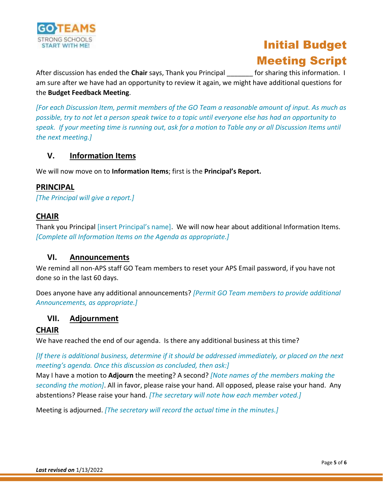

After discussion has ended the **Chair** says, Thank you Principal \_\_\_\_\_\_\_ for sharing this information. I am sure after we have had an opportunity to review it again, we might have additional questions for the **Budget Feedback Meeting**.

*[For each Discussion Item, permit members of the GO Team a reasonable amount of input. As much as possible, try to not let a person speak twice to a topic until everyone else has had an opportunity to speak. If your meeting time is running out, ask for a motion to Table any or all Discussion Items until the next meeting.]*

# **V. Information Items**

We will now move on to **Information Items**; first is the **Principal's Report.**

#### **PRINCIPAL**

*[The Principal will give a report.]*

## **CHAIR**

Thank you Principal [insert Principal's name]. We will now hear about additional Information Items. *[Complete all Information Items on the Agenda as appropriate.]*

## **VI. Announcements**

We remind all non-APS staff GO Team members to reset your APS Email password, if you have not done so in the last 60 days.

Does anyone have any additional announcements? *[Permit GO Team members to provide additional Announcements, as appropriate.]*

## **VII. Adjournment**

## **CHAIR**

We have reached the end of our agenda. Is there any additional business at this time?

*[If there is additional business, determine if it should be addressed immediately, or placed on the next meeting's agenda. Once this discussion as concluded, then ask:]*

May I have a motion to **Adjourn** the meeting? A second? *[Note names of the members making the seconding the motion]*. All in favor, please raise your hand. All opposed, please raise your hand. Any abstentions? Please raise your hand. *[The secretary will note how each member voted.]*

Meeting is adjourned. *[The secretary will record the actual time in the minutes.]*